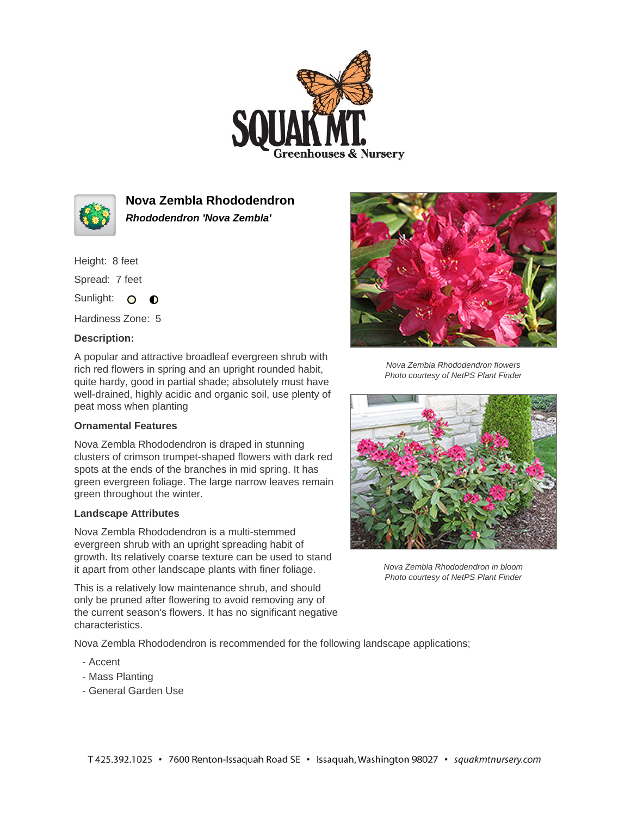



**Nova Zembla Rhododendron Rhododendron 'Nova Zembla'**

Height: 8 feet

Spread: 7 feet

Sunlight: O **O** 

Hardiness Zone: 5

## **Description:**

A popular and attractive broadleaf evergreen shrub with rich red flowers in spring and an upright rounded habit, quite hardy, good in partial shade; absolutely must have well-drained, highly acidic and organic soil, use plenty of peat moss when planting

## **Ornamental Features**

Nova Zembla Rhododendron is draped in stunning clusters of crimson trumpet-shaped flowers with dark red spots at the ends of the branches in mid spring. It has green evergreen foliage. The large narrow leaves remain green throughout the winter.

## **Landscape Attributes**

Nova Zembla Rhododendron is a multi-stemmed evergreen shrub with an upright spreading habit of growth. Its relatively coarse texture can be used to stand it apart from other landscape plants with finer foliage.

This is a relatively low maintenance shrub, and should only be pruned after flowering to avoid removing any of the current season's flowers. It has no significant negative characteristics.

Nova Zembla Rhododendron is recommended for the following landscape applications;

- Accent
- Mass Planting
- General Garden Use



Nova Zembla Rhododendron flowers Photo courtesy of NetPS Plant Finder



Nova Zembla Rhododendron in bloom Photo courtesy of NetPS Plant Finder